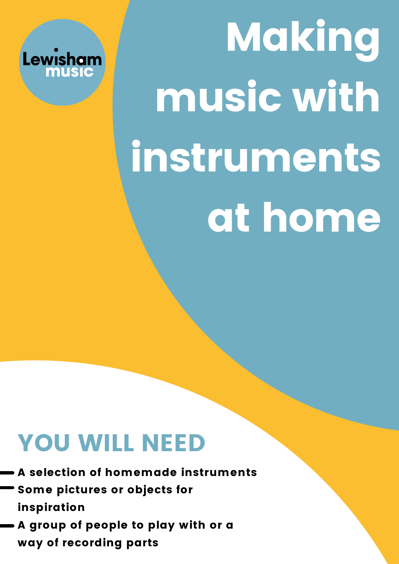

# Making music with instruments at home

## YOU WILL NEED

A selection of homemade instruments Some pictures or objects for inspiration A group of people to play with or a way of recording parts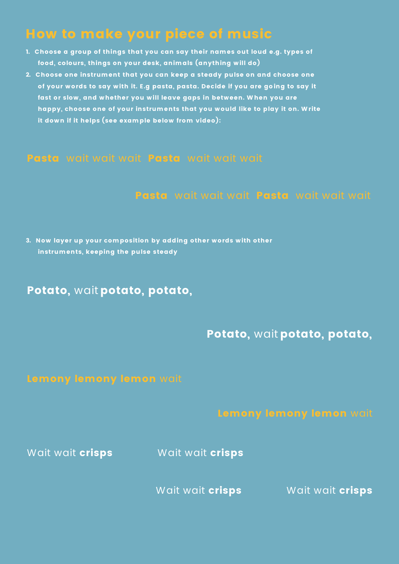## How to make your piece of music

- 1. Choose a group of things that you can say their names out loud e.g. types of food, colours, things on your desk, animals (anything will do)
- 2. Choose one instrument that you can keep a steady pulse on and choose one of your words to say with it. E.g pasta, pasta. Decide if you are go ing to say it fast or slow, and whether you will leave gaps in between. W hen you are happy, choose one of your instruments that you would like to play it on. Write it down if it helps (see example below from video):

#### Pasta wait wait wait Pasta wait wait wait

#### Pasta wait wait wait Pasta wait wait wait

3. Now layer up your composition by adding other words with other instruments, keeping the pulse steady

#### Potato, wait potato, potato,

#### Potato, wait potato, potato,

Wait wait **crisps** Wait wait **crisps** 

Wait wait **crisps Wait wait crisps**